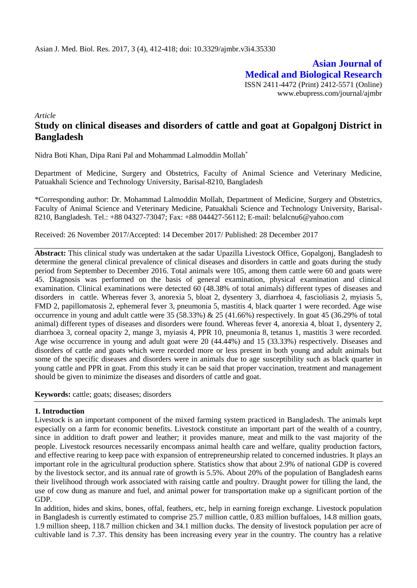**Asian Journal of Medical and Biological Research** ISSN 2411-4472 (Print) 2412-5571 (Online) www.ebupress.com/journal/ajmbr

*Article*

# **Study on clinical diseases and disorders of cattle and goat at Gopalgonj District in Bangladesh**

Nidra Boti Khan, Dipa Rani Pal and Mohammad Lalmoddin Mollah

Department of Medicine, Surgery and Obstetrics, Faculty of Animal Science and Veterinary Medicine, Patuakhali Science and Technology University, Barisal-8210, Bangladesh

\*Corresponding author: Dr. Mohammad Lalmoddin Mollah, Department of Medicine, Surgery and Obstetrics, Faculty of Animal Science and Veterinary Medicine, Patuakhali Science and Technology University, Barisal-8210, Bangladesh. Tel.: +88 04327-73047; Fax: +88 044427-56112; E-mail: belalcnu6@yahoo.com

Received: 26 November 2017/Accepted: 14 December 2017/ Published: 28 December 2017

**Abstract:** This clinical study was undertaken at the sadar Upazilla Livestock Office, Gopalgonj, Bangladesh to determine the general clinical prevalence of clinical diseases and disorders in cattle and goats during the study period from September to December 2016. Total animals were 105, among them cattle were 60 and goats were 45. Diagnosis was performed on the basis of general examination, physical examination and clinical examination. Clinical examinations were detected 60 (48.38% of total animals) different types of diseases and disorders in cattle. Whereas fever 3, anorexia 5, bloat 2, dysentery 3, diarrhoea 4, fascioliasis 2, myiasis 5, FMD 2, papillomatosis 2, ephemeral fever 3, pneumonia 5, mastitis 4, black quarter 1 were recorded. Age wise occurrence in young and adult cattle were 35 (58.33%) & 25 (41.66%) respectively. In goat 45 (36.29% of total animal) different types of diseases and disorders were found. Whereas fever 4, anorexia 4, bloat 1, dysentery 2, diarrhoea 3, corneal opacity 2, mange 3, myiasis 4, PPR 10, pneumonia 8, tetanus 1, mastitis 3 were recorded. Age wise occurrence in young and adult goat were 20 (44.44%) and 15 (33.33%) respectively. Diseases and disorders of cattle and goats which were recorded more or less present in both young and adult animals but some of the specific diseases and disorders were in animals due to age susceptibility such as black quarter in young cattle and PPR in goat. From this study it can be said that proper vaccination, treatment and management should be given to minimize the diseases and disorders of cattle and goat.

**Keywords:** cattle; goats; diseases; disorders

### **1. Introduction**

Livestock is an important component of the mixed farming system practiced in Bangladesh. The animals kept especially on a farm for economic benefits. Livestock constitute an important part of the wealth of a country, since in addition to draft power and leather; it provides manure, meat and milk to the vast majority of the people. Livestock resources necessarily encompass animal health care and welfare, quality production factors, and effective rearing to keep pace with expansion of entrepreneurship related to concerned industries. It plays an important role in the agricultural production sphere. Statistics show that about 2.9% of national GDP is covered by the livestock sector, and its annual rate of growth is 5.5%. About 20% of the population of Bangladesh earns their livelihood through work associated with raising cattle and poultry. Draught power for tilling the land, the use of cow dung as manure and fuel, and animal power for transportation make up a significant portion of the GDP.

In addition, hides and skins, bones, offal, feathers, etc, help in earning foreign exchange. Livestock population in Bangladesh is currently estimated to comprise 25.7 million cattle, 0.83 million buffaloes, 14.8 million goats, 1.9 million sheep, 118.7 million chicken and 34.1 million ducks. The density of livestock population per acre of cultivable land is 7.37. This density has been increasing every year in the country. The country has a relative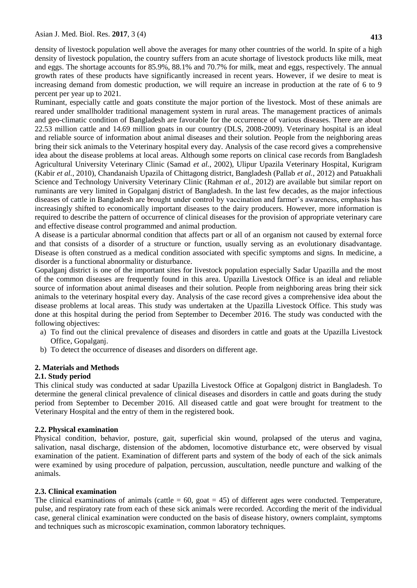Ruminant, especially cattle and goats constitute the major portion of the livestock. Most of these animals are reared under smallholder traditional management system in rural areas. The management practices of animals and geo-climatic condition of Bangladesh are favorable for the occurrence of various diseases. There are about 22.53 million cattle and 14.69 million goats in our country (DLS, 2008-2009). Veterinary hospital is an ideal and reliable source of information about animal diseases and their solution. People from the neighboring areas bring their sick animals to the Veterinary hospital every day. Analysis of the case record gives a comprehensive idea about the disease problems at local areas. Although some reports on clinical case records from Bangladesh Agricultural University Veterinary Clinic (Samad *et al.*, 2002), Ulipur Upazila Veterinary Hospital, Kurigram (Kabir *et al.*, 2010), Chandanaish Upazila of Chittagong district, Bangladesh (Pallab *et al.*, 2012) and Patuakhali Science and Technology University Veterinary Clinic (Rahman *et al.*, 2012) are available but similar report on ruminants are very limited in Gopalganj district of Bangladesh. In the last few decades, as the major infectious diseases of cattle in Bangladesh are brought under control by vaccination and farmer's awareness, emphasis has increasingly shifted to economically important diseases to the dairy producers. However, more information is required to describe the pattern of occurrence of clinical diseases for the provision of appropriate veterinary care and effective disease control programmed and animal production.

A disease is a particular abnormal condition that affects part or all of an [organism](https://en.wikipedia.org/wiki/Organism) not caused by external force and that consists of a disorder of a structure or function, usually serving as an evolutionary disadvantage. Disease is often construed as a medical condition associated with specific [symptoms](https://en.wikipedia.org/wiki/Symptom) and [signs.](https://en.wikipedia.org/wiki/Medical_sign) In medicine, a disorder is a functional abnormality or disturbance.

Gopalganj district is one of the important sites for livestock population especially Sadar Upazilla and the most of the common diseases are frequently found in this area. Upazilla Livestock Office is an ideal and reliable source of information about animal diseases and their solution. People from neighboring areas bring their sick animals to the veterinary hospital every day. Analysis of the case record gives a comprehensive idea about the disease problems at local areas. This study was undertaken at the Upazilla Livestock Office. This study was done at this hospital during the period from September to December 2016. The study was conducted with the following objectives:

- a) To find out the clinical prevalence of diseases and disorders in cattle and goats at the Upazilla Livestock Office, Gopalganj.
- b) To detect the occurrence of diseases and disorders on different age.

## **2. Materials and Methods**

## **2.1. Study period**

This clinical study was conducted at sadar Upazilla Livestock Office at Gopalgonj district in Bangladesh. To determine the general clinical prevalence of clinical diseases and disorders in cattle and goats during the study period from September to December 2016. All diseased cattle and goat were brought for treatment to the Veterinary Hospital and the entry of them in the registered book.

## **2.2. Physical examination**

Physical condition, behavior, posture, gait, superficial skin wound, prolapsed of the uterus and vagina, salivation, nasal discharge, distension of the abdomen, locomotive disturbance etc, were observed by visual examination of the patient. Examination of different parts and system of the body of each of the sick animals were examined by using procedure of palpation, percussion, auscultation, needle puncture and walking of the animals.

## **2.3. Clinical examination**

The clinical examinations of animals (cattle  $= 60$ , goat  $= 45$ ) of different ages were conducted. Temperature, pulse, and respiratory rate from each of these sick animals were recorded. According the merit of the individual case, general clinical examination were conducted on the basis of disease history, owners complaint, symptoms and techniques such as microscopic examination, common laboratory techniques.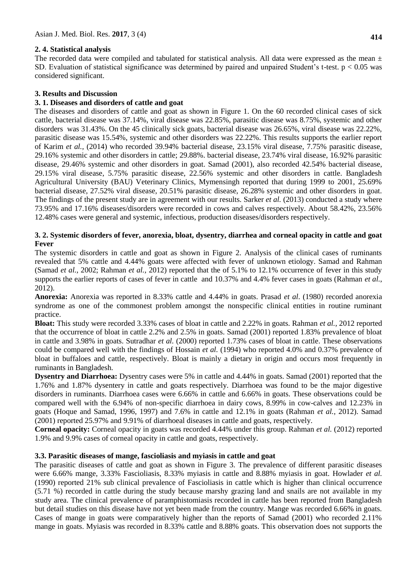### **2. 4. Statistical analysis**

The recorded data were compiled and tabulated for statistical analysis. All data were expressed as the mean  $\pm$ SD. Evaluation of statistical significance was determined by paired and unpaired Student's t-test.  $p < 0.05$  was considered significant.

### **3. Results and Discussion**

### **3. 1. Diseases and disorders of cattle and goat**

The diseases and disorders of cattle and goat as shown in Figure 1. On the 60 recorded clinical cases of sick cattle, bacterial disease was 37.14%, viral disease was 22.85%, parasitic disease was 8.75%, systemic and other disorders was 31.43%. On the 45 clinically sick goats, bacterial disease was 26.65%, viral disease was 22.22%, parasitic disease was 15.54%, systemic and other disorders was 22.22%. This results supports the earlier report of Karim *et al.,* (2014) who recorded 39.94% bacterial disease, 23.15% viral disease, 7.75% parasitic disease, 29.16% systemic and other disorders in cattle; 29.88%. bacterial disease, 23.74% viral disease, 16.92% parasitic disease, 29.46% systemic and other disorders in goat. Samad (2001), also recorded 42.54% bacterial disease, 29.15% viral disease, 5.75% parasitic disease, 22.56% systemic and other disorders in cattle. Bangladesh Agricultural University (BAU) Veterinary Clinics, Mymensingh reported that during 1999 to 2001, 25.69% bacterial disease, 27.52% viral disease, 20.51% parasitic disease, 26.28% systemic and other disorders in goat. The findings of the present study are in agreement with our results. Sarker *et al.* (2013) conducted a study where 73.95% and 17.16% diseases/disorders were recorded in cows and calves respectively. About 58.42%, 23.56% 12.48% cases were general and systemic, infectious, production diseases/disorders respectively.

### **3. 2. Systemic disorders of fever, anorexia, bloat, dysentry, diarrhea and corneal opacity in cattle and goat Fever**

The systemic disorders in cattle and goat as shown in Figure 2. Analysis of the clinical cases of ruminants revealed that 5% cattle and 4.44% goats were affected with fever of unknown etiology. Samad and Rahman (Samad *et al.*, 2002; Rahman *et al.*, 2012) reported that the of 5.1% to 12.1% occurrence of fever in this study supports the earlier reports of cases of fever in cattle and 10.37% and 4.4% fever cases in goats (Rahman *et al.*, 2012).

**Anorexia:** Anorexia was reported in 8.33% cattle and 4.44% in goats. Prasad *et al*. (1980) recorded anorexia syndrome as one of the commonest problem amongst the nonspecific clinical entities in routine ruminant practice.

**Bloat:** This study were recorded 3.33% cases of bloat in cattle and 2.22% in goats. Rahman *et al.,* 2012 reported that the occurrence of bloat in cattle 2.2% and 2.5% in goats. Samad (2001) reported 1.83% prevalence of bloat in cattle and 3.98% in goats. Sutradhar *et al.* (2000) reported 1.73% cases of bloat in cattle. These observations could be compared well with the findings of Hossain *et al.* (1994) who reported 4.0% and 0.37% prevalence of bloat in buffaloes and cattle, respectively. Bloat is mainly a dietary in origin and occurs most frequently in ruminants in Bangladesh.

**Dysentry and Diarrhoea:** Dysentry cases were 5% in cattle and 4.44% in goats. Samad (2001) reported that the 1.76% and 1.87% dysentery in cattle and goats respectively. Diarrhoea was found to be the major digestive disorders in ruminants. Diarrhoea cases were 6.66% in cattle and 6.66% in goats. These observations could be compared well with the 6.94% of non-specific diarrhoea in dairy cows, 8.99% in cow-calves and 12.23% in goats (Hoque and Samad, 1996, 1997) and 7.6% in cattle and 12.1% in goats (Rahman *et al.*, 2012). Samad (2001) reported 25.97% and 9.91% of diarrhoeal diseases in cattle and goats, respectively.

**Corneal opacity:** Corneal opacity in goats was recorded 4.44% under this group. Rahman *et al.* (2012) reported 1.9% and 9.9% cases of corneal opacity in cattle and goats, respectively.

### **3.3. Parasitic diseases of mange, fascioliasis and myiasis in cattle and goat**

The parasitic diseases of cattle and goat as shown in Figure 3. The prevalence of different parasitic diseases were 6.66% mange, 3.33% Fascioliasis, 8.33% myiasis in cattle and 8.88% myiasis in goat. Howlader *et al.*  (1990) reported 21% sub clinical prevalence of Fascioliasis in cattle which is higher than clinical occurrence (5.71 %) recorded in cattle during the study because marshy grazing land and snails are not available in my study area. The clinical prevalence of paramphistomiasis recorded in cattle has been reported from Bangladesh but detail studies on this disease have not yet been made from the country. Mange was recorded 6.66% in goats. Cases of mange in goats were comparatively higher than the reports of Samad (2001) who recorded 2.11% mange in goats. Myiasis was recorded in 8.33% cattle and 8.88% goats. This observation does not supports the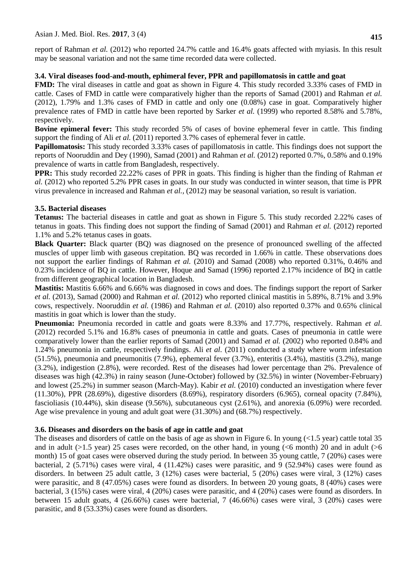### **3.4. Viral diseases food-and-mouth, ephimeral fever, PPR and papillomatosis in cattle and goat**

**FMD:** The viral diseases in cattle and goat as shown in Figure 4. This study recorded 3.33% cases of FMD in cattle. Cases of FMD in cattle were comparatively higher than the reports of Samad (2001) and Rahman *et al.*  (2012), 1.79% and 1.3% cases of FMD in cattle and only one (0.08%) case in goat. Comparatively higher prevalence rates of FMD in cattle have been reported by Sarker *et al.* (1999) who reported 8.58% and 5.78%, respectively.

**Bovine epimeral fever:** This study recorded 5% of cases of bovine ephemeral fever in cattle. This finding support the finding of Ali *et al.* (2011) reported 3.7% cases of ephemeral fever in cattle.

**Papillomatosis:** This study recorded 3.33% cases of papillomatosis in cattle. This findings does not support the reports of Nooruddin and Dey (1990), Samad (2001) and Rahman *et al.* (2012) reported 0.7%, 0.58% and 0.19% prevalence of warts in cattle from Bangladesh, respectively.

**PPR:** This study recorded 22.22% cases of PPR in goats. This finding is higher than the finding of Rahman *et al.* (2012) who reported 5.2% PPR cases in goats. In our study was conducted in winter season, that time is PPR virus prevalence in increased and Rahman *et al.,* (2012) may be seasonal variation, so result is variation.

## **3.5. Bacterial diseases**

**Tetanus:** The bacterial diseases in cattle and goat as shown in Figure 5. This study recorded 2.22% cases of tetanus in goats. This finding does not support the finding of Samad (2001) and Rahman *et al.* (2012) reported 1.1% and 5.2% tetanus cases in goats.

**Black Quarter:** Black quarter (BQ) was diagnosed on the presence of pronounced swelling of the affected muscles of upper limb with gaseous crepitation. BQ was recorded in 1.66% in cattle. These observations does not support the earlier findings of Rahman *et al.* (2010) and Samad (2008) who reported 0.31%, 0.46% and 0.23% incidence of BQ in cattle. However, Hoque and Samad (1996) reported 2.17% incidence of BQ in cattle from different geographical location in Bangladesh.

**Mastitis:** Mastitis 6.66% and 6.66% was diagnosed in cows and does. The findings support the report of Sarker *et al.* (2013), Samad (2000) and Rahman *et al.* (2012) who reported clinical mastitis in 5.89%, 8.71% and 3.9% cows, respectively. Nooruddin *et al.* (1986) and Rahman *et al.* (2010) also reported 0.37% and 0.65% clinical mastitis in goat which is lower than the study.

**Pneumonia:** Pneumonia recorded in cattle and goats were 8.33% and 17.77%, respectively. Rahman *et al.*  (2012) recorded 5.1% and 16.8% cases of pneumonia in cattle and goats. Cases of pneumonia in cattle were comparatively lower than the earlier reports of Samad (2001) and Samad *et al.* (2002) who reported 0.84% and 1.24% pneumonia in cattle, respectively findings. Ali *et al.* (2011) conducted a study where worm infestation (51.5%), pneumonia and pneumonitis (7.9%), ephemeral fever (3.7%), enteritis (3.4%), mastitis (3.2%), mange (3.2%), indigestion (2.8%), were recorded. Rest of the diseases had lower percentage than 2%. Prevalence of diseases was high (42.3%) in rainy season (June-October) followed by (32.5%) in winter (November-February) and lowest (25.2%) in summer season (March-May). Kabir *et al.* (2010) conducted an investigation where fever (11.30%), PPR (28.69%), digestive disorders (8.69%), respiratory disorders (6.965), corneal opacity (7.84%), fascioliasis (10.44%), skin disease (9.56%), subcutaneous cyst (2.61%), and anorexia (6.09%) were recorded. Age wise prevalence in young and adult goat were (31.30%) and (68.7%) respectively.

## **3.6. Diseases and disorders on the basis of age in cattle and goat**

The diseases and disorders of cattle on the basis of age as shown in Figure 6. In young  $\leq 1.5$  year) cattle total 35 and in adult ( $>1.5$  year) 25 cases were recorded, on the other hand, in young ( $<$ 6 month) 20 and in adult ( $>$ 6 month) 15 of goat cases were observed during the study period. In between 35 young cattle, 7 (20%) cases were bacterial, 2 (5.71%) cases were viral, 4 (11.42%) cases were parasitic, and 9 (52.94%) cases were found as disorders. In between 25 adult cattle, 3 (12%) cases were bacterial, 5 (20%) cases were viral, 3 (12%) cases were parasitic, and 8 (47.05%) cases were found as disorders. In between 20 young goats, 8 (40%) cases were bacterial, 3 (15%) cases were viral, 4 (20%) cases were parasitic, and 4 (20%) cases were found as disorders. In between 15 adult goats, 4 (26.66%) cases were bacterial, 7 (46.66%) cases were viral, 3 (20%) cases were parasitic, and 8 (53.33%) cases were found as disorders.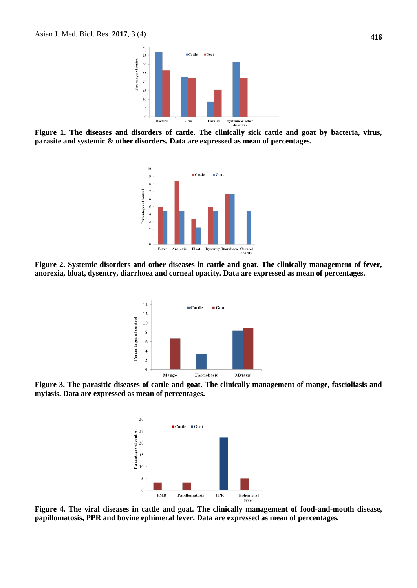

**Figure 1. The diseases and disorders of cattle. The clinically sick cattle and goat by bacteria, virus, parasite and systemic & other disorders. Data are expressed as mean of percentages.**



**Figure 2. Systemic disorders and other diseases in cattle and goat. The clinically management of fever, anorexia, bloat, dysentry, diarrhoea and corneal opacity. Data are expressed as mean of percentages.**



**Figure 3. The parasitic diseases of cattle and goat. The clinically management of mange, fascioliasis and myiasis. Data are expressed as mean of percentages.** 



**Figure 4. The viral diseases in cattle and goat. The clinically management of food-and-mouth disease, papillomatosis, PPR and bovine ephimeral fever. Data are expressed as mean of percentages.**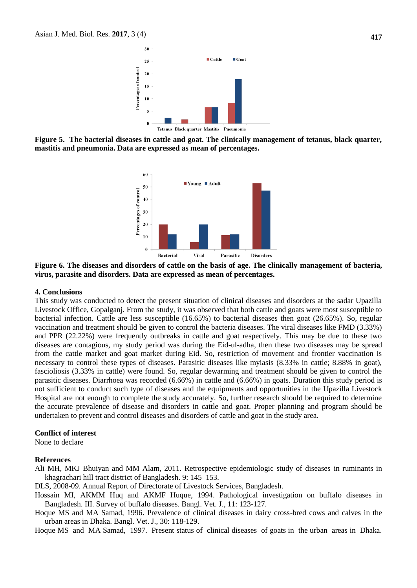

**Figure 5. The bacterial diseases in cattle and goat. The clinically management of tetanus, black quarter, mastitis and pneumonia. Data are expressed as mean of percentages.** 



**Figure 6. The diseases and disorders of cattle on the basis of age. The clinically management of bacteria, virus, parasite and disorders. Data are expressed as mean of percentages.** 

#### **4. Conclusions**

This study was conducted to detect the present situation of clinical diseases and disorders at the sadar Upazilla Livestock Office, Gopalganj. From the study, it was observed that both cattle and goats were most susceptible to bacterial infection. Cattle are less susceptible (16.65%) to bacterial diseases then goat (26.65%). So, regular vaccination and treatment should be given to control the bacteria diseases. The viral diseases like FMD (3.33%) and PPR (22.22%) were frequently outbreaks in cattle and goat respectively. This may be due to these two diseases are contagious, my study period was during the Eid-ul-adha, then these two diseases may be spread from the cattle market and goat market during Eid. So, restriction of movement and frontier vaccination is necessary to control these types of diseases. Parasitic diseases like myiasis (8.33% in cattle; 8.88% in goat), fascioliosis (3.33% in cattle) were found. So, regular dewarming and treatment should be given to control the parasitic diseases. Diarrhoea was recorded (6.66%) in cattle and (6.66%) in goats. Duration this study period is not sufficient to conduct such type of diseases and the equipments and opportunities in the Upazilla Livestock Hospital are not enough to complete the study accurately. So, further research should be required to determine the accurate prevalence of disease and disorders in cattle and goat. Proper planning and program should be undertaken to prevent and control diseases and disorders of cattle and goat in the study area.

#### **Conflict of interest**

None to declare

#### **References**

- Ali MH, MKJ Bhuiyan and MM Alam, 2011. Retrospective epidemiologic study of diseases in ruminants in khagrachari hill tract district of Bangladesh. 9: 145–153.
- DLS, 2008-09. Annual Report of Directorate of Livestock Services, Bangladesh.
- Hossain MI, AKMM Huq and AKMF Huque, 1994. Pathological investigation on buffalo diseases in Bangladesh. III. Survey of buffalo diseases. Bangl. Vet. J., 11: 123-127.
- Hoque MS and MA Samad, 1996. Prevalence of clinical diseases in dairy cross-bred cows and calves in the urban areas in Dhaka. Bangl. Vet. J., 30: 118-129.

Hoque MS and MA Samad, 1997. Present status of clinical diseases of goats in the urban areas in Dhaka.